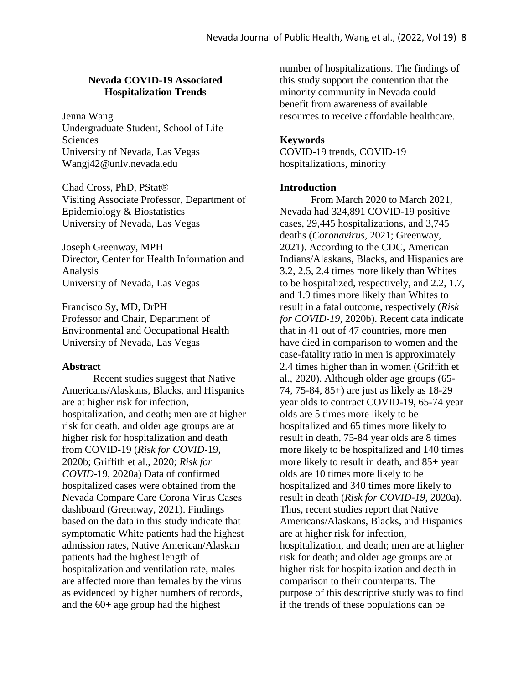## **Nevada COVID-19 Associated Hospitalization Trends**

Jenna Wang Undergraduate Student, School of Life Sciences University of Nevada, Las Vegas Wangj42@unlv.nevada.edu

Chad Cross, PhD, PStat® Visiting Associate Professor, Department of Epidemiology & Biostatistics University of Nevada, Las Vegas

Joseph Greenway, MPH Director, Center for Health Information and Analysis University of Nevada, Las Vegas

Francisco Sy, MD, DrPH Professor and Chair, Department of Environmental and Occupational Health University of Nevada, Las Vegas

#### **Abstract**

Recent studies suggest that Native Americans/Alaskans, Blacks, and Hispanics are at higher risk for infection, hospitalization, and death; men are at higher risk for death, and older age groups are at higher risk for hospitalization and death from COVID-19 (*Risk for COVID-*19, 2020b; Griffith et al., 2020; *Risk for COVID-*19, 2020a) Data of confirmed hospitalized cases were obtained from the Nevada Compare Care Corona Virus Cases dashboard (Greenway, 2021). Findings based on the data in this study indicate that symptomatic White patients had the highest admission rates, Native American/Alaskan patients had the highest length of hospitalization and ventilation rate, males are affected more than females by the virus as evidenced by higher numbers of records, and the 60+ age group had the highest

number of hospitalizations. The findings of this study support the contention that the minority community in Nevada could benefit from awareness of available resources to receive affordable healthcare.

## **Keywords**

COVID-19 trends, COVID-19 hospitalizations, minority

### **Introduction**

From March 2020 to March 2021, Nevada had 324,891 COVID-19 positive cases, 29,445 hospitalizations, and 3,745 deaths (*Coronavirus*, 2021; Greenway, 2021). According to the CDC, American Indians/Alaskans, Blacks, and Hispanics are 3.2, 2.5, 2.4 times more likely than Whites to be hospitalized, respectively, and 2.2, 1.7, and 1.9 times more likely than Whites to result in a fatal outcome, respectively (*Risk for COVID-19*, 2020b). Recent data indicate that in 41 out of 47 countries, more men have died in comparison to women and the case-fatality ratio in men is approximately 2.4 times higher than in women (Griffith et al., 2020). Although older age groups (65- 74, 75-84, 85+) are just as likely as 18-29 year olds to contract COVID-19, 65-74 year olds are 5 times more likely to be hospitalized and 65 times more likely to result in death, 75-84 year olds are 8 times more likely to be hospitalized and 140 times more likely to result in death, and 85+ year olds are 10 times more likely to be hospitalized and 340 times more likely to result in death (*Risk for COVID-19*, 2020a). Thus, recent studies report that Native Americans/Alaskans, Blacks, and Hispanics are at higher risk for infection, hospitalization, and death; men are at higher risk for death; and older age groups are at higher risk for hospitalization and death in comparison to their counterparts. The purpose of this descriptive study was to find if the trends of these populations can be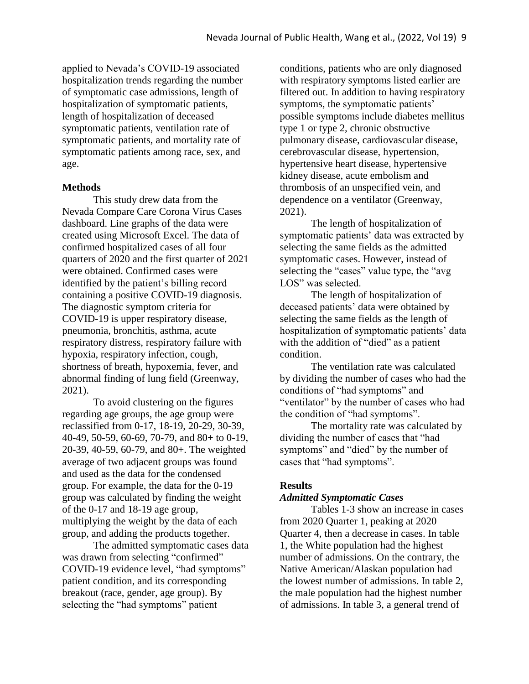applied to Nevada's COVID-19 associated hospitalization trends regarding the number of symptomatic case admissions, length of hospitalization of symptomatic patients, length of hospitalization of deceased symptomatic patients, ventilation rate of symptomatic patients, and mortality rate of symptomatic patients among race, sex, and age.

## **Methods**

This study drew data from the Nevada Compare Care Corona Virus Cases dashboard. Line graphs of the data were created using Microsoft Excel. The data of confirmed hospitalized cases of all four quarters of 2020 and the first quarter of 2021 were obtained. Confirmed cases were identified by the patient's billing record containing a positive COVID-19 diagnosis. The diagnostic symptom criteria for COVID-19 is upper respiratory disease, pneumonia, bronchitis, asthma, acute respiratory distress, respiratory failure with hypoxia, respiratory infection, cough, shortness of breath, hypoxemia, fever, and abnormal finding of lung field (Greenway, 2021).

To avoid clustering on the figures regarding age groups, the age group were reclassified from 0-17, 18-19, 20-29, 30-39, 40-49, 50-59, 60-69, 70-79, and 80+ to 0-19, 20-39, 40-59, 60-79, and 80+. The weighted average of two adjacent groups was found and used as the data for the condensed group. For example, the data for the 0-19 group was calculated by finding the weight of the 0-17 and 18-19 age group, multiplying the weight by the data of each group, and adding the products together.

The admitted symptomatic cases data was drawn from selecting "confirmed" COVID-19 evidence level, "had symptoms" patient condition, and its corresponding breakout (race, gender, age group). By selecting the "had symptoms" patient

conditions, patients who are only diagnosed with respiratory symptoms listed earlier are filtered out. In addition to having respiratory symptoms, the symptomatic patients' possible symptoms include diabetes mellitus type 1 or type 2, chronic obstructive pulmonary disease, cardiovascular disease, cerebrovascular disease, hypertension, hypertensive heart disease, hypertensive kidney disease, acute embolism and thrombosis of an unspecified vein, and dependence on a ventilator (Greenway, 2021).

The length of hospitalization of symptomatic patients' data was extracted by selecting the same fields as the admitted symptomatic cases. However, instead of selecting the "cases" value type, the "avg LOS" was selected.

The length of hospitalization of deceased patients' data were obtained by selecting the same fields as the length of hospitalization of symptomatic patients' data with the addition of "died" as a patient condition.

The ventilation rate was calculated by dividing the number of cases who had the conditions of "had symptoms" and "ventilator" by the number of cases who had the condition of "had symptoms".

The mortality rate was calculated by dividing the number of cases that "had symptoms" and "died" by the number of cases that "had symptoms".

# **Results**

## *Admitted Symptomatic Cases*

Tables 1-3 show an increase in cases from 2020 Quarter 1, peaking at 2020 Quarter 4, then a decrease in cases. In table 1, the White population had the highest number of admissions. On the contrary, the Native American/Alaskan population had the lowest number of admissions. In table 2, the male population had the highest number of admissions. In table 3, a general trend of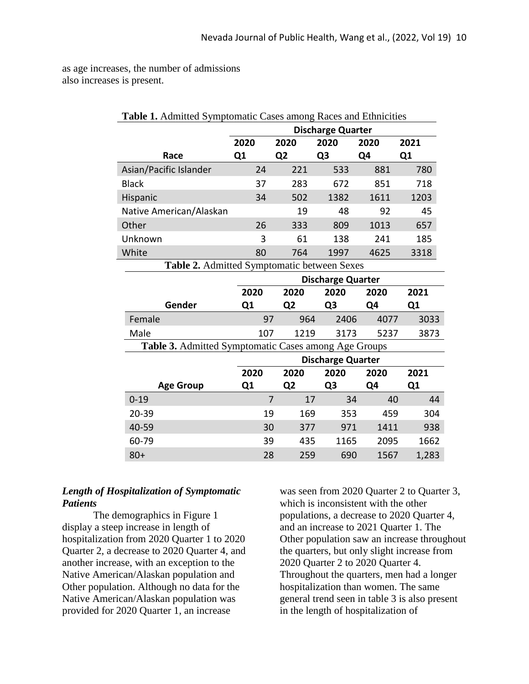as age increases, the number of admissions also increases is present.

| Table 1. Admitted Symptomatic Cases among Races and Ethnicities |                          |                |                          |      |      |
|-----------------------------------------------------------------|--------------------------|----------------|--------------------------|------|------|
|                                                                 | <b>Discharge Quarter</b> |                |                          |      |      |
|                                                                 | 2020                     | 2020           | 2020                     | 2020 | 2021 |
| Race                                                            | Q1                       | Q <sub>2</sub> | Q <sub>3</sub>           | Q4   | Q1   |
| Asian/Pacific Islander                                          | 24                       | 221            | 533                      | 881  | 780  |
| <b>Black</b>                                                    | 37                       | 283            | 672                      | 851  | 718  |
| Hispanic                                                        | 34                       | 502            | 1382                     | 1611 | 1203 |
| Native American/Alaskan                                         |                          | 19             | 48                       | 92   | 45   |
| Other                                                           | 26                       | 333            | 809                      | 1013 | 657  |
| Unknown                                                         | 3                        | 61             | 138                      | 241  | 185  |
| White                                                           | 80                       | 764            | 1997                     | 4625 | 3318 |
| Table 2. Admitted Symptomatic between Sexes                     |                          |                |                          |      |      |
|                                                                 | <b>Discharge Quarter</b> |                |                          |      |      |
|                                                                 |                          |                |                          |      |      |
|                                                                 | 2020                     | 2020           | 2020                     | 2020 | 2021 |
| Gender                                                          | Q1                       | Q <sub>2</sub> | Q <sub>3</sub>           | Q4   | Q1   |
| Female                                                          | 97                       | 964            | 2406                     | 4077 | 3033 |
| Male                                                            | 107                      | 1219           | 3173                     | 5237 | 3873 |
| Table 3. Admitted Symptomatic Cases among Age Groups            |                          |                |                          |      |      |
|                                                                 |                          |                | <b>Discharge Quarter</b> |      |      |
|                                                                 | 2020                     | 2020           | 2020                     | 2020 | 2021 |
| <b>Age Group</b>                                                | Q1                       | Q <sub>2</sub> | Q <sub>3</sub>           | Q4   | Q1   |
| $0 - 19$                                                        | $\overline{7}$           | 17             | 34                       | 40   | 44   |
| 20-39                                                           | 19                       | 169            | 353                      | 459  | 304  |
| 40-59                                                           | 30                       | 377            | 971                      | 1411 | 938  |
| 60-79                                                           | 39                       | 435            | 1165                     | 2095 | 1662 |

## *Length of Hospitalization of Symptomatic Patients*

The demographics in Figure 1 display a steep increase in length of hospitalization from 2020 Quarter 1 to 2020 Quarter 2, a decrease to 2020 Quarter 4, and another increase, with an exception to the Native American/Alaskan population and Other population. Although no data for the Native American/Alaskan population was provided for 2020 Quarter 1, an increase

was seen from 2020 Quarter 2 to Quarter 3, which is inconsistent with the other populations, a decrease to 2020 Quarter 4, and an increase to 2021 Quarter 1. The Other population saw an increase throughout the quarters, but only slight increase from 2020 Quarter 2 to 2020 Quarter 4. Throughout the quarters, men had a longer hospitalization than women. The same general trend seen in table 3 is also present in the length of hospitalization of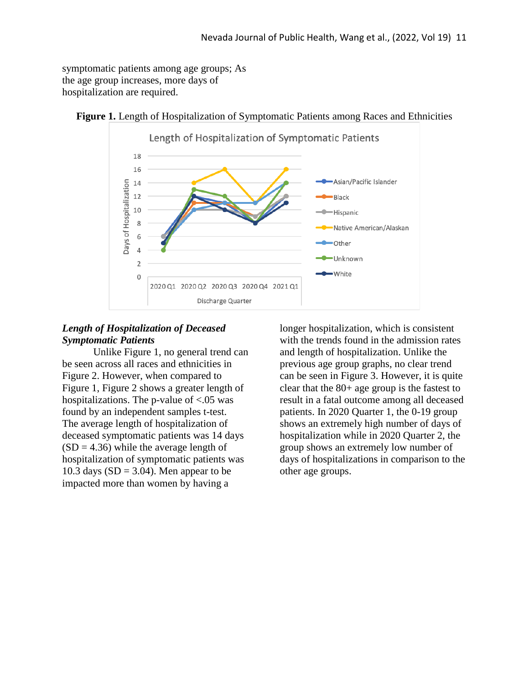symptomatic patients among age groups; As the age group increases, more days of hospitalization are required.



**Figure 1.** Length of Hospitalization of Symptomatic Patients among Races and Ethnicities

# *Length of Hospitalization of Deceased Symptomatic Patients*

Unlike Figure 1, no general trend can be seen across all races and ethnicities in Figure 2. However, when compared to Figure 1, Figure 2 shows a greater length of hospitalizations. The p-value of <.05 was found by an independent samples t-test. The average length of hospitalization of deceased symptomatic patients was 14 days  $(SD = 4.36)$  while the average length of hospitalization of symptomatic patients was 10.3 days  $(SD = 3.04)$ . Men appear to be impacted more than women by having a

longer hospitalization, which is consistent with the trends found in the admission rates and length of hospitalization. Unlike the previous age group graphs, no clear trend can be seen in Figure 3. However, it is quite clear that the 80+ age group is the fastest to result in a fatal outcome among all deceased patients. In 2020 Quarter 1, the 0-19 group shows an extremely high number of days of hospitalization while in 2020 Quarter 2, the group shows an extremely low number of days of hospitalizations in comparison to the other age groups.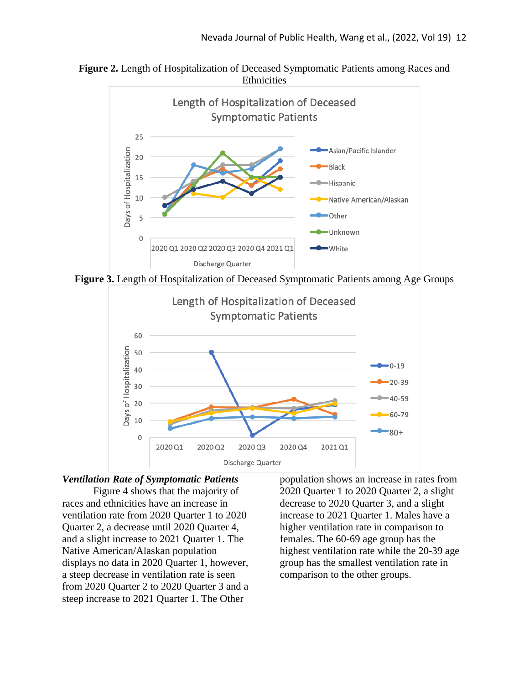

**Figure 2.** Length of Hospitalization of Deceased Symptomatic Patients among Races and **Ethnicities** 

**Figure 3.** Length of Hospitalization of Deceased Symptomatic Patients among Age Groups



## *Ventilation Rate of Symptomatic Patients*

Figure 4 shows that the majority of races and ethnicities have an increase in ventilation rate from 2020 Quarter 1 to 2020 Quarter 2, a decrease until 2020 Quarter 4, and a slight increase to 2021 Quarter 1. The Native American/Alaskan population displays no data in 2020 Quarter 1, however, a steep decrease in ventilation rate is seen from 2020 Quarter 2 to 2020 Quarter 3 and a steep increase to 2021 Quarter 1. The Other

population shows an increase in rates from 2020 Quarter 1 to 2020 Quarter 2, a slight decrease to 2020 Quarter 3, and a slight increase to 2021 Quarter 1. Males have a higher ventilation rate in comparison to females. The 60-69 age group has the highest ventilation rate while the 20-39 age group has the smallest ventilation rate in comparison to the other groups.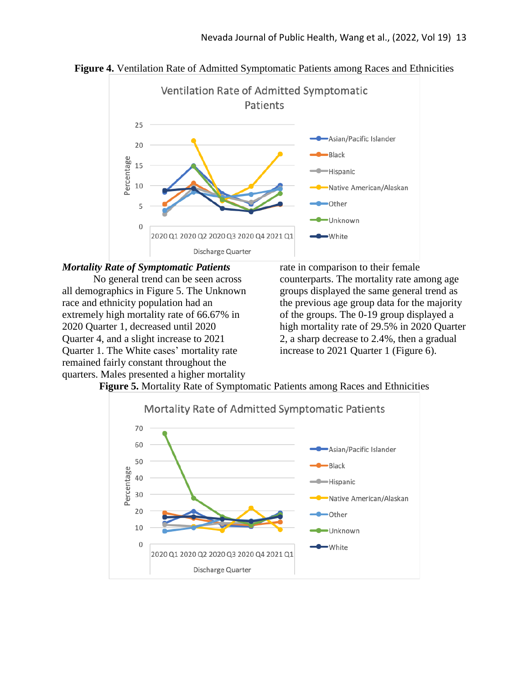



## *Mortality Rate of Symptomatic Patients*

No general trend can be seen across all demographics in Figure 5. The Unknown race and ethnicity population had an extremely high mortality rate of 66.67% in 2020 Quarter 1, decreased until 2020 Quarter 4, and a slight increase to 2021 Quarter 1. The White cases' mortality rate remained fairly constant throughout the quarters. Males presented a higher mortality

rate in comparison to their female counterparts. The mortality rate among age groups displayed the same general trend as the previous age group data for the majority of the groups. The 0-19 group displayed a high mortality rate of 29.5% in 2020 Quarter 2, a sharp decrease to 2.4%, then a gradual increase to 2021 Quarter 1 (Figure 6).



**Figure 5.** Mortality Rate of Symptomatic Patients among Races and Ethnicities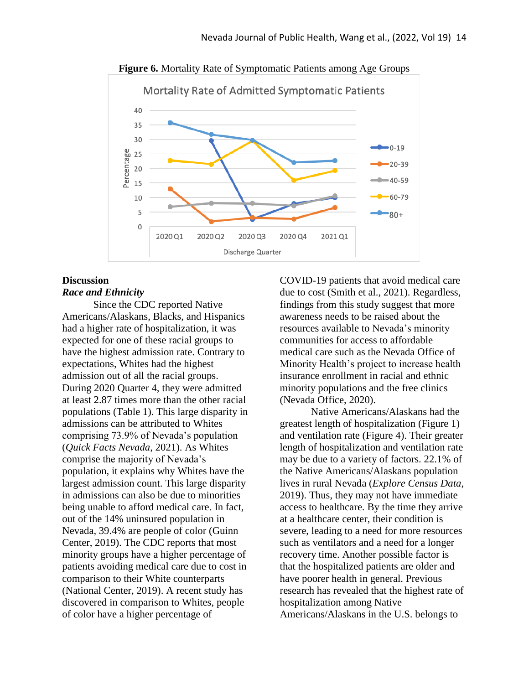

**Figure 6.** Mortality Rate of Symptomatic Patients among Age Groups

## **Discussion** *Race and Ethnicity*

Since the CDC reported Native Americans/Alaskans, Blacks, and Hispanics had a higher rate of hospitalization, it was expected for one of these racial groups to have the highest admission rate. Contrary to expectations, Whites had the highest admission out of all the racial groups. During 2020 Quarter 4, they were admitted at least 2.87 times more than the other racial populations (Table 1). This large disparity in admissions can be attributed to Whites comprising 73.9% of Nevada's population (*Quick Facts Nevada*, 2021). As Whites comprise the majority of Nevada's population, it explains why Whites have the largest admission count. This large disparity in admissions can also be due to minorities being unable to afford medical care. In fact, out of the 14% uninsured population in Nevada, 39.4% are people of color (Guinn Center, 2019). The CDC reports that most minority groups have a higher percentage of patients avoiding medical care due to cost in comparison to their White counterparts (National Center, 2019). A recent study has discovered in comparison to Whites, people of color have a higher percentage of

COVID-19 patients that avoid medical care due to cost (Smith et al., 2021). Regardless, findings from this study suggest that more awareness needs to be raised about the resources available to Nevada's minority communities for access to affordable medical care such as the Nevada Office of Minority Health's project to increase health insurance enrollment in racial and ethnic minority populations and the free clinics (Nevada Office, 2020).

Native Americans/Alaskans had the greatest length of hospitalization (Figure 1) and ventilation rate (Figure 4). Their greater length of hospitalization and ventilation rate may be due to a variety of factors. 22.1% of the Native Americans/Alaskans population lives in rural Nevada (*Explore Census Data*, 2019). Thus, they may not have immediate access to healthcare. By the time they arrive at a healthcare center, their condition is severe, leading to a need for more resources such as ventilators and a need for a longer recovery time. Another possible factor is that the hospitalized patients are older and have poorer health in general. Previous research has revealed that the highest rate of hospitalization among Native Americans/Alaskans in the U.S. belongs to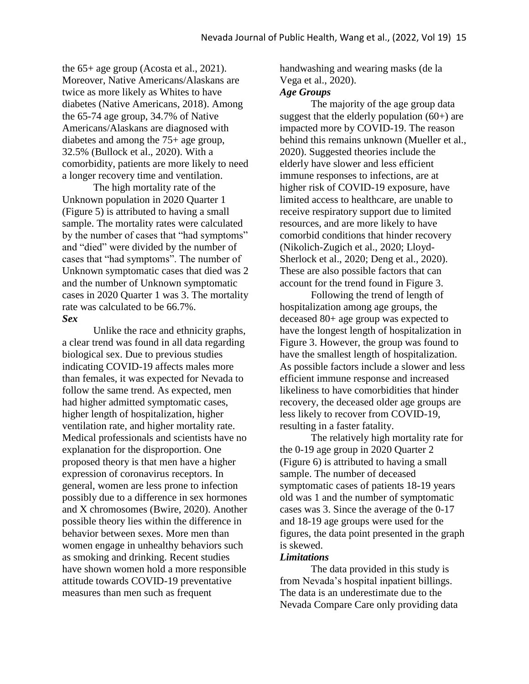the 65+ age group (Acosta et al., 2021). Moreover, Native Americans/Alaskans are twice as more likely as Whites to have diabetes (Native Americans, 2018). Among the 65-74 age group, 34.7% of Native Americans/Alaskans are diagnosed with diabetes and among the 75+ age group, 32.5% (Bullock et al., 2020). With a comorbidity, patients are more likely to need a longer recovery time and ventilation.

The high mortality rate of the Unknown population in 2020 Quarter 1 (Figure 5) is attributed to having a small sample. The mortality rates were calculated by the number of cases that "had symptoms" and "died" were divided by the number of cases that "had symptoms". The number of Unknown symptomatic cases that died was 2 and the number of Unknown symptomatic cases in 2020 Quarter 1 was 3. The mortality rate was calculated to be 66.7%. *Sex*

Unlike the race and ethnicity graphs, a clear trend was found in all data regarding biological sex. Due to previous studies indicating COVID-19 affects males more than females, it was expected for Nevada to follow the same trend. As expected, men had higher admitted symptomatic cases, higher length of hospitalization, higher ventilation rate, and higher mortality rate. Medical professionals and scientists have no explanation for the disproportion. One proposed theory is that men have a higher expression of coronavirus receptors. In general, women are less prone to infection possibly due to a difference in sex hormones and X chromosomes (Bwire, 2020). Another possible theory lies within the difference in behavior between sexes. More men than women engage in unhealthy behaviors such as smoking and drinking. Recent studies have shown women hold a more responsible attitude towards COVID-19 preventative measures than men such as frequent

handwashing and wearing masks (de la Vega et al., 2020).

### *Age Groups*

The majority of the age group data suggest that the elderly population  $(60+)$  are impacted more by COVID-19. The reason behind this remains unknown (Mueller et al., 2020). Suggested theories include the elderly have slower and less efficient immune responses to infections, are at higher risk of COVID-19 exposure, have limited access to healthcare, are unable to receive respiratory support due to limited resources, and are more likely to have comorbid conditions that hinder recovery (Nikolich-Zugich et al., 2020; Lloyd-Sherlock et al., 2020; Deng et al., 2020). These are also possible factors that can account for the trend found in Figure 3.

Following the trend of length of hospitalization among age groups, the deceased 80+ age group was expected to have the longest length of hospitalization in Figure 3. However, the group was found to have the smallest length of hospitalization. As possible factors include a slower and less efficient immune response and increased likeliness to have comorbidities that hinder recovery, the deceased older age groups are less likely to recover from COVID-19, resulting in a faster fatality.

The relatively high mortality rate for the 0-19 age group in 2020 Quarter 2 (Figure 6) is attributed to having a small sample. The number of deceased symptomatic cases of patients 18-19 years old was 1 and the number of symptomatic cases was 3. Since the average of the 0-17 and 18-19 age groups were used for the figures, the data point presented in the graph is skewed.

### *Limitations*

The data provided in this study is from Nevada's hospital inpatient billings. The data is an underestimate due to the Nevada Compare Care only providing data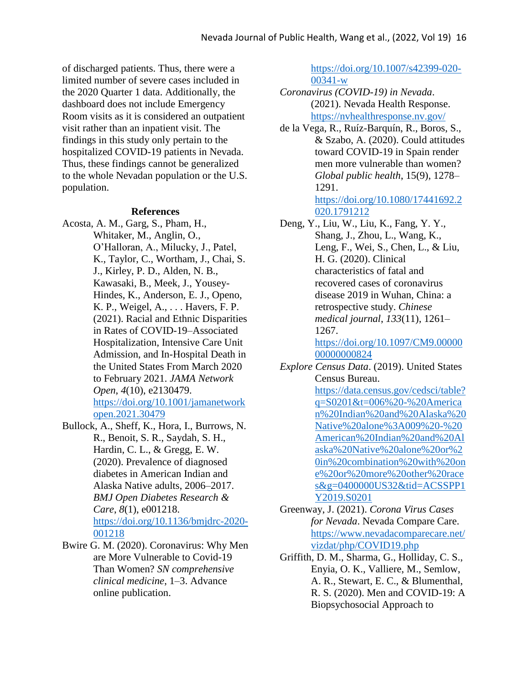of discharged patients. Thus, there were a limited number of severe cases included in the 2020 Quarter 1 data. Additionally, the dashboard does not include Emergency Room visits as it is considered an outpatient visit rather than an inpatient visit. The findings in this study only pertain to the hospitalized COVID-19 patients in Nevada. Thus, these findings cannot be generalized to the whole Nevadan population or the U.S. population.

#### **References**

- Acosta, A. M., Garg, S., Pham, H., Whitaker, M., Anglin, O., O'Halloran, A., Milucky, J., Patel, K., Taylor, C., Wortham, J., Chai, S. J., Kirley, P. D., Alden, N. B., Kawasaki, B., Meek, J., Yousey-Hindes, K., Anderson, E. J., Openo, K. P., Weigel, A., . . . Havers, F. P. (2021). Racial and Ethnic Disparities in Rates of COVID-19–Associated Hospitalization, Intensive Care Unit Admission, and In-Hospital Death in the United States From March 2020 to February 2021. *JAMA Network Open*, *4*(10), e2130479. [https://doi.org/10.1001/jamanetwork](https://doi.org/10.1001/jamanetworkopen.2021.30479) [open.2021.30479](https://doi.org/10.1001/jamanetworkopen.2021.30479)
- Bullock, A., Sheff, K., Hora, I., Burrows, N. R., Benoit, S. R., Saydah, S. H., Hardin, C. L., & Gregg, E. W. (2020). Prevalence of diagnosed diabetes in American Indian and Alaska Native adults, 2006–2017. *BMJ Open Diabetes Research & Care*, *8*(1), e001218. [https://doi.org/10.1136/bmjdrc-2020-](https://doi.org/10.1136/bmjdrc-2020-001218) [001218](https://doi.org/10.1136/bmjdrc-2020-001218)
- Bwire G. M. (2020). Coronavirus: Why Men are More Vulnerable to Covid-19 Than Women? *SN comprehensive clinical medicine*, 1–3. Advance online publication.

[https://doi.org/10.1007/s42399-020-](https://doi.org/10.1007/s42399-020-00341-w) [00341-w](https://doi.org/10.1007/s42399-020-00341-w)

- *Coronavirus (COVID-19) in Nevada*. (2021). Nevada Health Response. <https://nvhealthresponse.nv.gov/>
- de la Vega, R., Ruíz-Barquín, R., Boros, S., & Szabo, A. (2020). Could attitudes toward COVID-19 in Spain render men more vulnerable than women? *Global public health*, 15(9), 1278– 1291. [https://doi.org/10.1080/17441692.2](https://doi.org/10.1080/17441692.2020.1791212)

[020.1791212](https://doi.org/10.1080/17441692.2020.1791212) Deng, Y., Liu, W., Liu, K., Fang, Y. Y., Shang, J., Zhou, L., Wang, K., Leng, F., Wei, S., Chen, L., & Liu, H. G. (2020). Clinical characteristics of fatal and recovered cases of coronavirus disease 2019 in Wuhan, China: a retrospective study. *Chinese medical journal*, *133*(11), 1261– 1267.

[https://doi.org/10.1097/CM9.00000](https://doi.org/10.1097/CM9.0000000000000824) [00000000824](https://doi.org/10.1097/CM9.0000000000000824)

*Explore Census Data*. (2019). United States Census Bureau.

> [https://data.census.gov/cedsci/table?](https://data.census.gov/cedsci/table?q=S0201&t=006%20-%20American%20Indian%20and%20Alaska%20Native%20alone%3A009%20-%20American%20Indian%20and%20Alaska%20Native%20alone%20or%20in%20combination%20with%20one%20or%20more%20other%20races&g=0400000US32&tid=ACSSPP1Y2019.S0201) [q=S0201&t=006%20-%20America](https://data.census.gov/cedsci/table?q=S0201&t=006%20-%20American%20Indian%20and%20Alaska%20Native%20alone%3A009%20-%20American%20Indian%20and%20Alaska%20Native%20alone%20or%20in%20combination%20with%20one%20or%20more%20other%20races&g=0400000US32&tid=ACSSPP1Y2019.S0201) [n%20Indian%20and%20Alaska%20](https://data.census.gov/cedsci/table?q=S0201&t=006%20-%20American%20Indian%20and%20Alaska%20Native%20alone%3A009%20-%20American%20Indian%20and%20Alaska%20Native%20alone%20or%20in%20combination%20with%20one%20or%20more%20other%20races&g=0400000US32&tid=ACSSPP1Y2019.S0201) [Native%20alone%3A009%20-%20](https://data.census.gov/cedsci/table?q=S0201&t=006%20-%20American%20Indian%20and%20Alaska%20Native%20alone%3A009%20-%20American%20Indian%20and%20Alaska%20Native%20alone%20or%20in%20combination%20with%20one%20or%20more%20other%20races&g=0400000US32&tid=ACSSPP1Y2019.S0201) [American%20Indian%20and%20Al](https://data.census.gov/cedsci/table?q=S0201&t=006%20-%20American%20Indian%20and%20Alaska%20Native%20alone%3A009%20-%20American%20Indian%20and%20Alaska%20Native%20alone%20or%20in%20combination%20with%20one%20or%20more%20other%20races&g=0400000US32&tid=ACSSPP1Y2019.S0201) [aska%20Native%20alone%20or%2](https://data.census.gov/cedsci/table?q=S0201&t=006%20-%20American%20Indian%20and%20Alaska%20Native%20alone%3A009%20-%20American%20Indian%20and%20Alaska%20Native%20alone%20or%20in%20combination%20with%20one%20or%20more%20other%20races&g=0400000US32&tid=ACSSPP1Y2019.S0201) [0in%20combination%20with%20on](https://data.census.gov/cedsci/table?q=S0201&t=006%20-%20American%20Indian%20and%20Alaska%20Native%20alone%3A009%20-%20American%20Indian%20and%20Alaska%20Native%20alone%20or%20in%20combination%20with%20one%20or%20more%20other%20races&g=0400000US32&tid=ACSSPP1Y2019.S0201) [e%20or%20more%20other%20race](https://data.census.gov/cedsci/table?q=S0201&t=006%20-%20American%20Indian%20and%20Alaska%20Native%20alone%3A009%20-%20American%20Indian%20and%20Alaska%20Native%20alone%20or%20in%20combination%20with%20one%20or%20more%20other%20races&g=0400000US32&tid=ACSSPP1Y2019.S0201) [s&g=0400000US32&tid=ACSSPP1](https://data.census.gov/cedsci/table?q=S0201&t=006%20-%20American%20Indian%20and%20Alaska%20Native%20alone%3A009%20-%20American%20Indian%20and%20Alaska%20Native%20alone%20or%20in%20combination%20with%20one%20or%20more%20other%20races&g=0400000US32&tid=ACSSPP1Y2019.S0201) [Y2019.S0201](https://data.census.gov/cedsci/table?q=S0201&t=006%20-%20American%20Indian%20and%20Alaska%20Native%20alone%3A009%20-%20American%20Indian%20and%20Alaska%20Native%20alone%20or%20in%20combination%20with%20one%20or%20more%20other%20races&g=0400000US32&tid=ACSSPP1Y2019.S0201)

- Greenway, J. (2021). *Corona Virus Cases for Nevada*. Nevada Compare Care. [https://www.nevadacomparecare.net/](https://www.nevadacomparecare.net/vizdat/php/COVID19.php) [vizdat/php/COVID19.php](https://www.nevadacomparecare.net/vizdat/php/COVID19.php)
- Griffith, D. M., Sharma, G., Holliday, C. S., Enyia, O. K., Valliere, M., Semlow, A. R., Stewart, E. C., & Blumenthal, R. S. (2020). Men and COVID-19: A Biopsychosocial Approach to